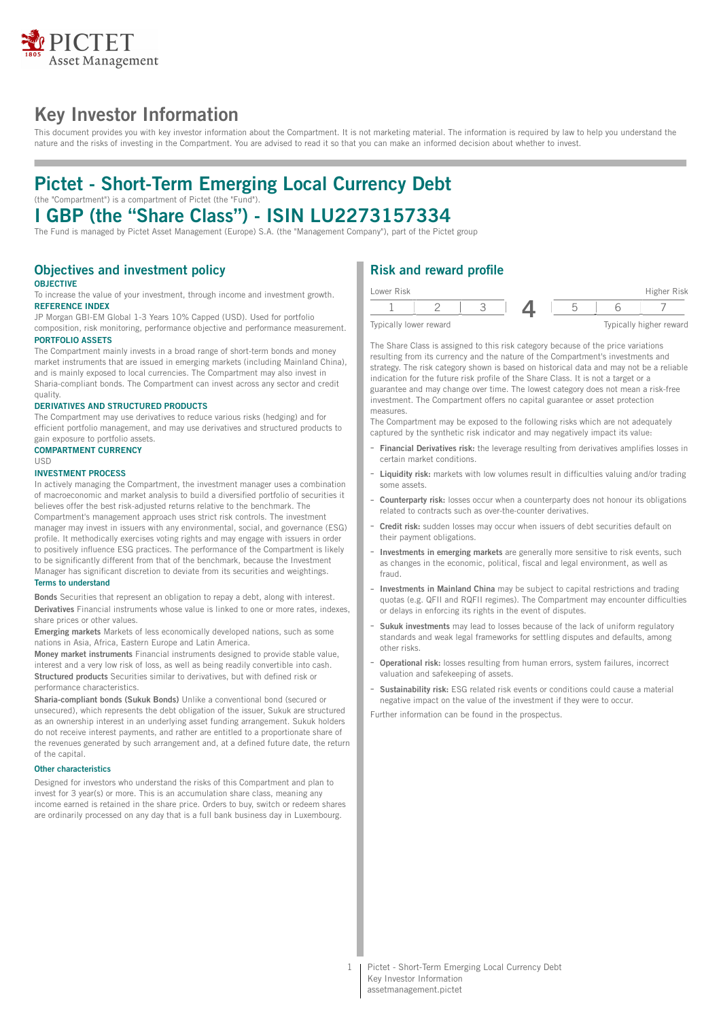

## **Key Investor Information**

This document provides you with key investor information about the Compartment. It is not marketing material. The information is required by law to help you understand the nature and the risks of investing in the Compartment. You are advised to read it so that you can make an informed decision about whether to invest.

## **Pictet - Short-Term Emerging Local Currency Debt** (the "Compartment") is a compartment of Pictet (the "Fund").

# **I GBP (the "Share Class") - ISIN LU2273157334**

The Fund is managed by Pictet Asset Management (Europe) S.A. (the "Management Company"), part of the Pictet group

## **Objectives and investment policy**

#### **OBJECTIVE**

To increase the value of your investment, through income and investment growth. **REFERENCE INDEX**

JP Morgan GBI-EM Global 1-3 Years 10% Capped (USD). Used for portfolio composition, risk monitoring, performance objective and performance measurement. **PORTFOLIO ASSETS**

The Compartment mainly invests in a broad range of short-term bonds and money market instruments that are issued in emerging markets (including Mainland China), and is mainly exposed to local currencies. The Compartment may also invest in Sharia-compliant bonds. The Compartment can invest across any sector and credit quality.

#### **DERIVATIVES AND STRUCTURED PRODUCTS**

The Compartment may use derivatives to reduce various risks (hedging) and for efficient portfolio management, and may use derivatives and structured products to gain exposure to portfolio assets.

#### **COMPARTMENT CURRENCY** USD

#### **INVESTMENT PROCESS**

In actively managing the Compartment, the investment manager uses a combination of macroeconomic and market analysis to build a diversified portfolio of securities it believes offer the best risk-adjusted returns relative to the benchmark. The Compartment's management approach uses strict risk controls. The investment manager may invest in issuers with any environmental, social, and governance (ESG) profile. It methodically exercises voting rights and may engage with issuers in order to positively influence ESG practices. The performance of the Compartment is likely to be significantly different from that of the benchmark, because the Investment Manager has significant discretion to deviate from its securities and weightings.

#### **Terms to understand**

**Bonds** Securities that represent an obligation to repay a debt, along with interest. **Derivatives** Financial instruments whose value is linked to one or more rates, indexes, share prices or other values.

**Emerging markets** Markets of less economically developed nations, such as some nations in Asia, Africa, Eastern Europe and Latin America.

**Money market instruments** Financial instruments designed to provide stable value, interest and a very low risk of loss, as well as being readily convertible into cash. **Structured products** Securities similar to derivatives, but with defined risk or performance characteristics.

**Sharia-compliant bonds (Sukuk Bonds)** Unlike a conventional bond (secured or unsecured), which represents the debt obligation of the issuer, Sukuk are structured as an ownership interest in an underlying asset funding arrangement. Sukuk holders do not receive interest payments, and rather are entitled to a proportionate share of the revenues generated by such arrangement and, at a defined future date, the return of the capital.

#### **Other characteristics**

Designed for investors who understand the risks of this Compartment and plan to invest for 3 year(s) or more. This is an accumulation share class, meaning any income earned is retained in the share price. Orders to buy, switch or redeem shares are ordinarily processed on any day that is a full bank business day in Luxembourg.

## **Risk and reward profile**



The Share Class is assigned to this risk category because of the price variations resulting from its currency and the nature of the Compartment's investments and strategy. The risk category shown is based on historical data and may not be a reliable indication for the future risk profile of the Share Class. It is not a target or a guarantee and may change over time. The lowest category does not mean a risk-free investment. The Compartment offers no capital guarantee or asset protection measures.

The Compartment may be exposed to the following risks which are not adequately captured by the synthetic risk indicator and may negatively impact its value:

- **Financial Derivatives risk:** the leverage resulting from derivatives amplifies losses in certain market conditions.
- Liquidity risk: markets with low volumes result in difficulties valuing and/or trading some assets.
- **Counterparty risk:** losses occur when a counterparty does not honour its obligations related to contracts such as over-the-counter derivatives.
- **Credit risk:** sudden losses may occur when issuers of debt securities default on their payment obligations.
- **Investments in emerging markets** are generally more sensitive to risk events, such as changes in the economic, political, fiscal and legal environment, as well as fraud.
- **Investments in Mainland China** may be subject to capital restrictions and trading quotas (e.g. QFII and RQFII regimes). The Compartment may encounter difficulties or delays in enforcing its rights in the event of disputes.
- **Sukuk investments** may lead to losses because of the lack of uniform regulatory standards and weak legal frameworks for settling disputes and defaults, among other risks.
- **Operational risk:** losses resulting from human errors, system failures, incorrect valuation and safekeeping of assets.
- Sustainability risk: ESG related risk events or conditions could cause a material negative impact on the value of the investment if they were to occur.

Further information can be found in the prospectus.

1 | Pictet - Short-Term Emerging Local Currency Debt Key Investor Information assetmanagement.pictet